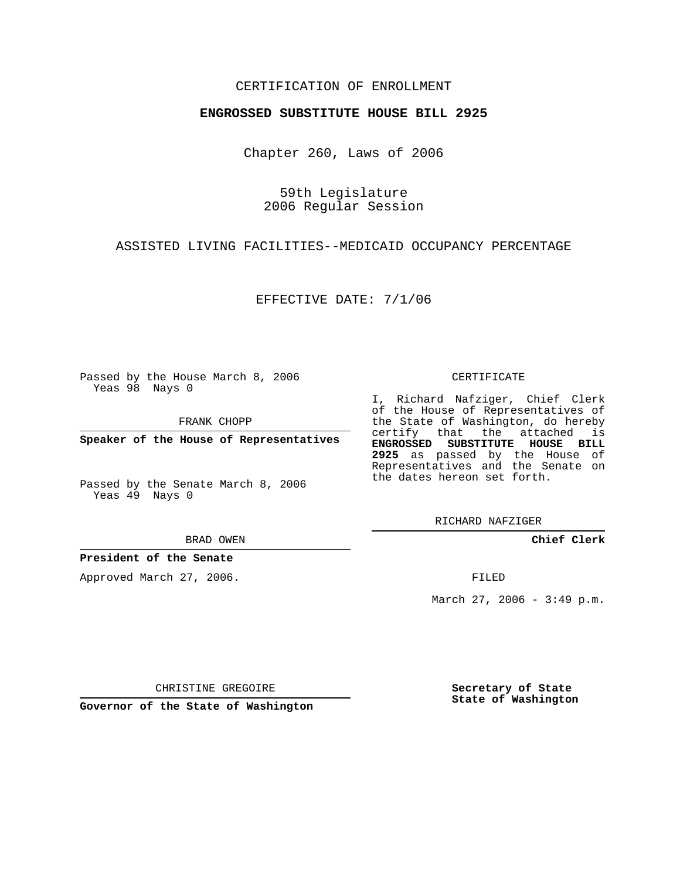## CERTIFICATION OF ENROLLMENT

#### **ENGROSSED SUBSTITUTE HOUSE BILL 2925**

Chapter 260, Laws of 2006

59th Legislature 2006 Regular Session

### ASSISTED LIVING FACILITIES--MEDICAID OCCUPANCY PERCENTAGE

EFFECTIVE DATE: 7/1/06

Passed by the House March 8, 2006 Yeas 98 Nays 0

FRANK CHOPP

**Speaker of the House of Representatives**

Passed by the Senate March 8, 2006 Yeas 49 Nays 0

BRAD OWEN

#### **President of the Senate**

Approved March 27, 2006.

CERTIFICATE

I, Richard Nafziger, Chief Clerk of the House of Representatives of the State of Washington, do hereby certify that the attached is **ENGROSSED SUBSTITUTE HOUSE BILL 2925** as passed by the House of Representatives and the Senate on the dates hereon set forth.

RICHARD NAFZIGER

**Chief Clerk**

FILED

March 27, 2006 - 3:49 p.m.

CHRISTINE GREGOIRE

**Governor of the State of Washington**

**Secretary of State State of Washington**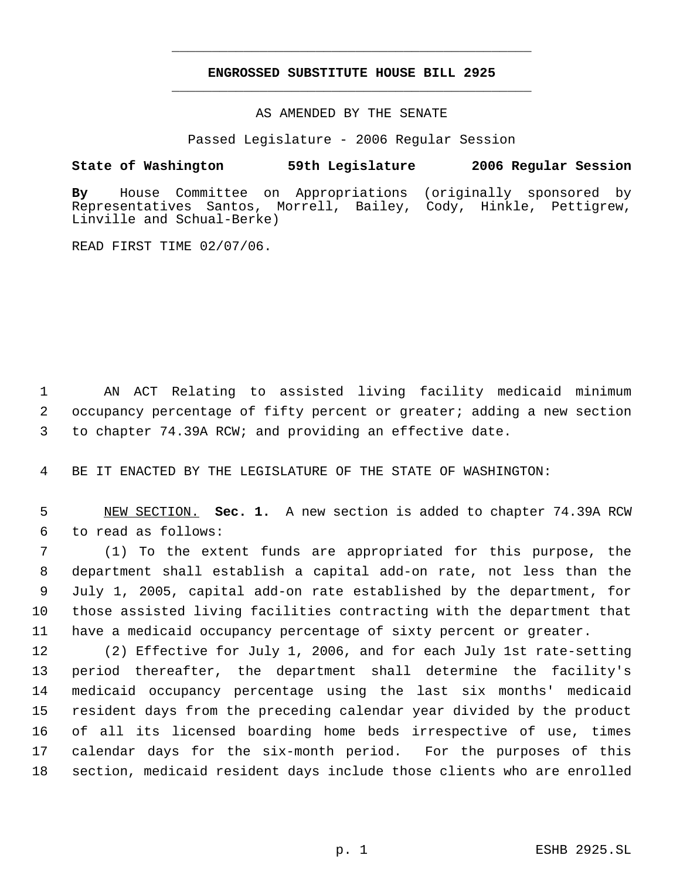# **ENGROSSED SUBSTITUTE HOUSE BILL 2925** \_\_\_\_\_\_\_\_\_\_\_\_\_\_\_\_\_\_\_\_\_\_\_\_\_\_\_\_\_\_\_\_\_\_\_\_\_\_\_\_\_\_\_\_\_

\_\_\_\_\_\_\_\_\_\_\_\_\_\_\_\_\_\_\_\_\_\_\_\_\_\_\_\_\_\_\_\_\_\_\_\_\_\_\_\_\_\_\_\_\_

AS AMENDED BY THE SENATE

Passed Legislature - 2006 Regular Session

# **State of Washington 59th Legislature 2006 Regular Session**

**By** House Committee on Appropriations (originally sponsored by Santos, Morrell, Bailey, Cody, Hinkle, Pettigrew, Linville and Schual-Berke)

READ FIRST TIME 02/07/06.

 AN ACT Relating to assisted living facility medicaid minimum occupancy percentage of fifty percent or greater; adding a new section to chapter 74.39A RCW; and providing an effective date.

BE IT ENACTED BY THE LEGISLATURE OF THE STATE OF WASHINGTON:

 NEW SECTION. **Sec. 1.** A new section is added to chapter 74.39A RCW to read as follows:

 (1) To the extent funds are appropriated for this purpose, the department shall establish a capital add-on rate, not less than the July 1, 2005, capital add-on rate established by the department, for those assisted living facilities contracting with the department that have a medicaid occupancy percentage of sixty percent or greater.

 (2) Effective for July 1, 2006, and for each July 1st rate-setting period thereafter, the department shall determine the facility's medicaid occupancy percentage using the last six months' medicaid resident days from the preceding calendar year divided by the product of all its licensed boarding home beds irrespective of use, times calendar days for the six-month period. For the purposes of this section, medicaid resident days include those clients who are enrolled